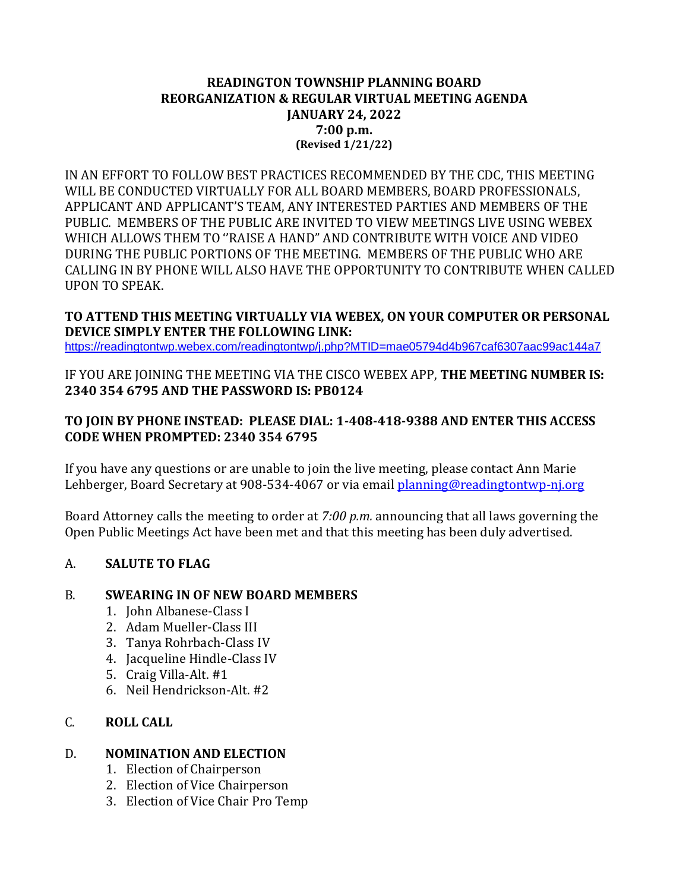#### **READINGTON TOWNSHIP PLANNING BOARD REORGANIZATION & REGULAR VIRTUAL MEETING AGENDA JANUARY 24, 2022 7:00 p.m. (Revised 1/21/22)**

IN AN EFFORT TO FOLLOW BEST PRACTICES RECOMMENDED BY THE CDC, THIS MEETING WILL BE CONDUCTED VIRTUALLY FOR ALL BOARD MEMBERS, BOARD PROFESSIONALS, APPLICANT AND APPLICANT'S TEAM, ANY INTERESTED PARTIES AND MEMBERS OF THE PUBLIC. MEMBERS OF THE PUBLIC ARE INVITED TO VIEW MEETINGS LIVE USING WEBEX WHICH ALLOWS THEM TO ''RAISE A HAND" AND CONTRIBUTE WITH VOICE AND VIDEO DURING THE PUBLIC PORTIONS OF THE MEETING. MEMBERS OF THE PUBLIC WHO ARE CALLING IN BY PHONE WILL ALSO HAVE THE OPPORTUNITY TO CONTRIBUTE WHEN CALLED UPON TO SPEAK.

#### **TO ATTEND THIS MEETING VIRTUALLY VIA WEBEX, ON YOUR COMPUTER OR PERSONAL DEVICE SIMPLY ENTER THE FOLLOWING LINK:**

<https://readingtontwp.webex.com/readingtontwp/j.php?MTID=mae05794d4b967caf6307aac99ac144a7>

IF YOU ARE JOINING THE MEETING VIA THE CISCO WEBEX APP, **THE MEETING NUMBER IS: 2340 354 6795 AND THE PASSWORD IS: PB0124**

#### **TO JOIN BY PHONE INSTEAD: PLEASE DIAL: 1-408-418-9388 AND ENTER THIS ACCESS CODE WHEN PROMPTED: 2340 354 6795**

If you have any questions or are unable to join the live meeting, please contact Ann Marie Lehberger, Board Secretary at 908-534-4067 or via email [planning@readingtontwp-nj.org](mailto:planning@readingtontwp-nj.org)

Board Attorney calls the meeting to order at *7:00 p.m.* announcing that all laws governing the Open Public Meetings Act have been met and that this meeting has been duly advertised.

### A. **SALUTE TO FLAG**

### B. **SWEARING IN OF NEW BOARD MEMBERS**

- 1. John Albanese-Class I
- 2. Adam Mueller-Class III
- 3. Tanya Rohrbach-Class IV
- 4. Jacqueline Hindle-Class IV
- 5. Craig Villa-Alt. #1
- 6. Neil Hendrickson-Alt. #2

### C. **ROLL CALL**

#### D. **NOMINATION AND ELECTION**

- 1. Election of Chairperson
- 2. Election of Vice Chairperson
- 3. Election of Vice Chair Pro Temp